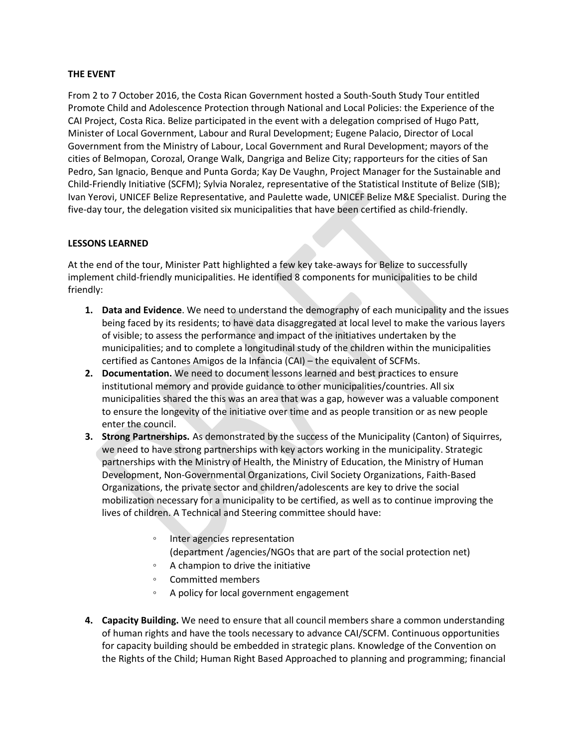### **THE EVENT**

From 2 to 7 October 2016, the Costa Rican Government hosted a South-South Study Tour entitled Promote Child and Adolescence Protection through National and Local Policies: the Experience of the CAI Project, Costa Rica. Belize participated in the event with a delegation comprised of Hugo Patt, Minister of Local Government, Labour and Rural Development; Eugene Palacio, Director of Local Government from the Ministry of Labour, Local Government and Rural Development; mayors of the cities of Belmopan, Corozal, Orange Walk, Dangriga and Belize City; rapporteurs for the cities of San Pedro, San Ignacio, Benque and Punta Gorda; Kay De Vaughn, Project Manager for the Sustainable and Child-Friendly Initiative (SCFM); Sylvia Noralez, representative of the Statistical Institute of Belize (SIB); Ivan Yerovi, UNICEF Belize Representative, and Paulette wade, UNICEF Belize M&E Specialist. During the five-day tour, the delegation visited six municipalities that have been certified as child-friendly.

#### **LESSONS LEARNED**

At the end of the tour, Minister Patt highlighted a few key take-aways for Belize to successfully implement child-friendly municipalities. He identified 8 components for municipalities to be child friendly:

- **1. Data and Evidence**. We need to understand the demography of each municipality and the issues being faced by its residents; to have data disaggregated at local level to make the various layers of visible; to assess the performance and impact of the initiatives undertaken by the municipalities; and to complete a longitudinal study of the children within the municipalities certified as Cantones Amigos de la Infancia (CAI) – the equivalent of SCFMs.
- **2. Documentation.** We need to document lessons learned and best practices to ensure institutional memory and provide guidance to other municipalities/countries. All six municipalities shared the this was an area that was a gap, however was a valuable component to ensure the longevity of the initiative over time and as people transition or as new people enter the council.
- **3. Strong Partnerships.** As demonstrated by the success of the Municipality (Canton) of Siquirres, we need to have strong partnerships with key actors working in the municipality. Strategic partnerships with the Ministry of Health, the Ministry of Education, the Ministry of Human Development, Non-Governmental Organizations, Civil Society Organizations, Faith-Based Organizations, the private sector and children/adolescents are key to drive the social mobilization necessary for a municipality to be certified, as well as to continue improving the lives of children. A Technical and Steering committee should have:
	- Inter agencies representation (department /agencies/NGOs that are part of the social protection net)
	- A champion to drive the initiative
	- Committed members
	- A policy for local government engagement
- **4. Capacity Building.** We need to ensure that all council members share a common understanding of human rights and have the tools necessary to advance CAI/SCFM. Continuous opportunities for capacity building should be embedded in strategic plans. Knowledge of the Convention on the Rights of the Child; Human Right Based Approached to planning and programming; financial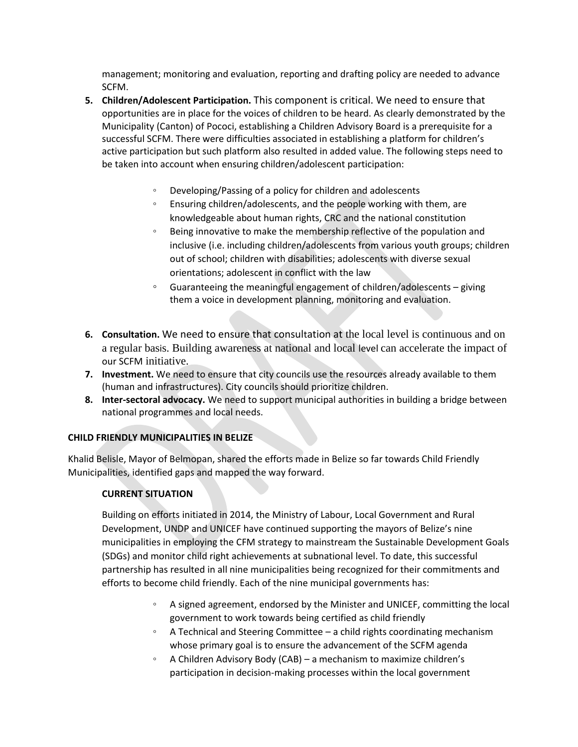management; monitoring and evaluation, reporting and drafting policy are needed to advance SCFM.

- **5. Children/Adolescent Participation.** This component is critical. We need to ensure that opportunities are in place for the voices of children to be heard. As clearly demonstrated by the Municipality (Canton) of Pococi, establishing a Children Advisory Board is a prerequisite for a successful SCFM. There were difficulties associated in establishing a platform for children's active participation but such platform also resulted in added value. The following steps need to be taken into account when ensuring children/adolescent participation:
	- Developing/Passing of a policy for children and adolescents
	- Ensuring children/adolescents, and the people working with them, are knowledgeable about human rights, CRC and the national constitution
	- Being innovative to make the membership reflective of the population and inclusive (i.e. including children/adolescents from various youth groups; children out of school; children with disabilities; adolescents with diverse sexual orientations; adolescent in conflict with the law
	- Guaranteeing the meaningful engagement of children/adolescents giving them a voice in development planning, monitoring and evaluation.
- **6. Consultation.** We need to ensure that consultation at the local level is continuous and on a regular basis. Building awareness at national and local level can accelerate the impact of our SCFM initiative.
- **7. Investment.** We need to ensure that city councils use the resources already available to them (human and infrastructures). City councils should prioritize children.
- **8. Inter-sectoral advocacy.** We need to support municipal authorities in building a bridge between national programmes and local needs.

# **CHILD FRIENDLY MUNICIPALITIES IN BELIZE**

Khalid Belisle, Mayor of Belmopan, shared the efforts made in Belize so far towards Child Friendly Municipalities, identified gaps and mapped the way forward.

# **CURRENT SITUATION**

Building on efforts initiated in 2014, the Ministry of Labour, Local Government and Rural Development, UNDP and UNICEF have continued supporting the mayors of Belize's nine municipalities in employing the CFM strategy to mainstream the Sustainable Development Goals (SDGs) and monitor child right achievements at subnational level. To date, this successful partnership has resulted in all nine municipalities being recognized for their commitments and efforts to become child friendly. Each of the nine municipal governments has:

- A signed agreement, endorsed by the Minister and UNICEF, committing the local government to work towards being certified as child friendly
- A Technical and Steering Committee a child rights coordinating mechanism whose primary goal is to ensure the advancement of the SCFM agenda
- A Children Advisory Body (CAB) a mechanism to maximize children's participation in decision-making processes within the local government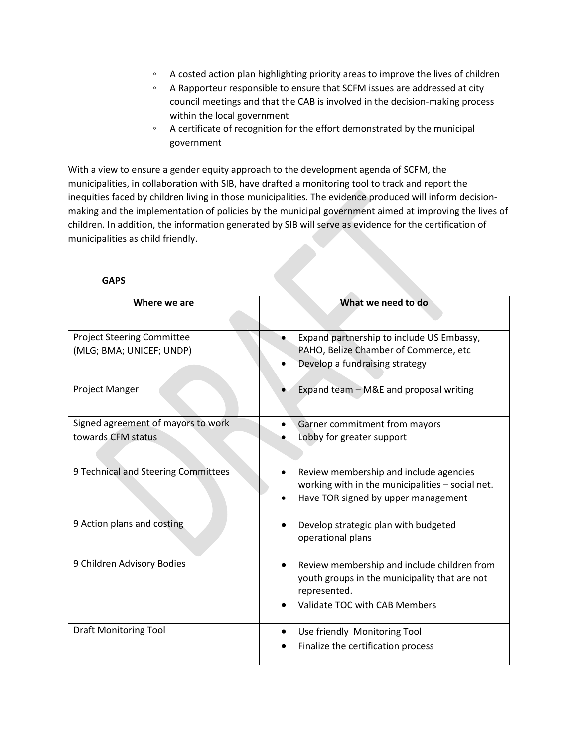- A costed action plan highlighting priority areas to improve the lives of children
- A Rapporteur responsible to ensure that SCFM issues are addressed at city council meetings and that the CAB is involved in the decision-making process within the local government
- A certificate of recognition for the effort demonstrated by the municipal government

With a view to ensure a gender equity approach to the development agenda of SCFM, the municipalities, in collaboration with SIB, have drafted a monitoring tool to track and report the inequities faced by children living in those municipalities. The evidence produced will inform decisionmaking and the implementation of policies by the municipal government aimed at improving the lives of children. In addition, the information generated by SIB will serve as evidence for the certification of municipalities as child friendly.

| Where we are                                                  | What we need to do                                                                                                                                         |
|---------------------------------------------------------------|------------------------------------------------------------------------------------------------------------------------------------------------------------|
| <b>Project Steering Committee</b><br>(MLG; BMA; UNICEF; UNDP) | Expand partnership to include US Embassy,<br>PAHO, Belize Chamber of Commerce, etc<br>Develop a fundraising strategy                                       |
| <b>Project Manger</b>                                         | Expand team - M&E and proposal writing<br>$\bullet$                                                                                                        |
| Signed agreement of mayors to work                            | Garner commitment from mayors                                                                                                                              |
| towards CFM status                                            | Lobby for greater support                                                                                                                                  |
| 9 Technical and Steering Committees                           | Review membership and include agencies<br>working with in the municipalities - social net.<br>Have TOR signed by upper management                          |
| 9 Action plans and costing                                    | Develop strategic plan with budgeted<br>$\bullet$<br>operational plans                                                                                     |
| 9 Children Advisory Bodies                                    | Review membership and include children from<br>$\bullet$<br>youth groups in the municipality that are not<br>represented.<br>Validate TOC with CAB Members |
| <b>Draft Monitoring Tool</b>                                  | Use friendly Monitoring Tool<br>Finalize the certification process                                                                                         |

### **GAPS**